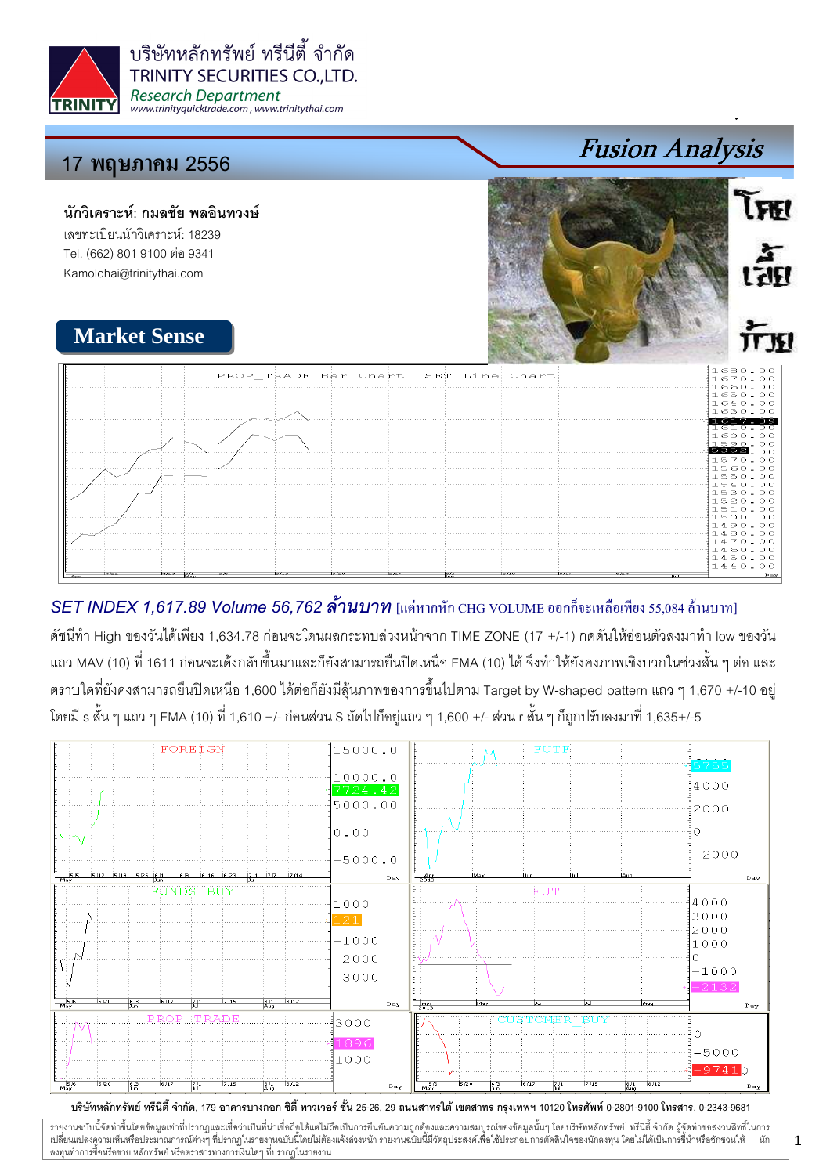

บริษัทหลักทรัพย์ ทรีนีตี้ จำกัด **TRINITY SECURITIES CO.,LTD. Research Department** www.trinityquicktrade.com, www.trinitythai.com

# 17 พฤษภา<mark>คม</mark> 2556

นักวิเคราะห์: กมลชัย พลอินทวงษ์ เลขทะเบียนนักวิเคราะห์: 18239 Tel. (662) 801 9100 ต่อ 9341 Kamolchai@trinitythai.com



Fusion Analysis

# **Market Sense**

|                               | PROP TRADE Bar Chart |      |      |     | SET Line Chart |      |      |                       | $1680 - 00$<br>1670.00         |
|-------------------------------|----------------------|------|------|-----|----------------|------|------|-----------------------|--------------------------------|
|                               |                      |      |      |     |                |      |      |                       | 1660.00<br>1650.00<br>1640.00  |
|                               |                      |      |      |     |                |      |      |                       | 1630.00<br>.617.               |
| .                             | .                    |      |      |     |                |      |      |                       | 1610-<br>O O<br>1600.00        |
| .                             | .                    |      |      |     |                |      |      |                       | $1590 - 00$<br>5352<br>1570.00 |
| .<br>.<br>.                   |                      |      |      |     |                |      |      |                       | $1560 - 00$<br>1550.00         |
|                               |                      |      |      |     |                |      |      |                       | 1540.00<br>1530.00             |
| .                             |                      |      |      |     |                |      |      |                       | 1520.00<br>1510.00<br>1500.00  |
|                               |                      |      |      |     |                |      |      |                       | 1490.00<br>1480.00             |
|                               |                      |      |      |     |                |      |      |                       | 1470.00<br>1460.00             |
|                               |                      |      |      |     |                |      |      |                       | 1450.00<br>1440.00             |
| 14/22<br>$14/22$ $8/1$<br>Apr | 15.05                | 5/13 | 5/20 | ちなえ | 65             | 6/10 | 6/17 | 6.62.4<br><b>Dail</b> | Day                            |

## $SET$  INDEX 1,617.89 Volume 56,762 ล้านบาท [แต่หากหัก CHG VOLUME ออกก็จะเหลือเพียง 55,084 ล้านบาท]

ดัชนีทำ High ของวันได้เพียง 1,634.78 ก่อนจะโดนผลกระทบล่วงหน้าจาก TIME ZONE (17 +/-1) กดดันให้อ่อนตัวลงมาทำ low ของวัน แถว MAV (10) ที่ 1611 ก่อนจะเด้งกลับขึ้นมาและก็ยังสามารถยืนปิดเหนือ EMA (10) ได้ จึงทำให้ยังคงภาพเชิงบวกในช่วงสั้น ๆ ต่อ และ ตราบใดที่ยังคงสามารถยืนปิดเหนือ 1,600 ได้ต่อก็ยังมีลุ้นภาพของการขึ้นไปตาม Target by W-shaped pattern แถว ๆ 1,670 +/-10 อยู่ โดยมี s สั้น ๆ แถว ๆ EMA (10) ที่ 1,610 +/- ก่อนส่วน S ถัดไปก็อยู่แถว ๆ 1,600 +/- ส่วน r สั้น ๆ ก็ถูกปรับลงมาที่ 1,635+/-5



รายงานฉบับนี้จัดทำขึ้นโดยข้อมูลเท่าที่ปรากฏและเชื่อว่าเป็นที่มากขึ้นตั้งเป็นก็ตะบนการตารามสมบูรณ์ของข้อมูลนั้นๆ โดยบริษัทหลักทรัพย์ ทรีนี้ตี้จำกัด ผู้จัดทำขอสงวนสิทธิ์ในการ i เปลี่ยนแปลงความเห็นหรือประมาณการณ์ต่างๆ ที่ปรากฏในรายงานอบับนี้โดย การกระบบกันไม่ได้รับระบบการตัดสินใจของนักลงทุน โดยไม่ได้เป็นการขึ้นำหรือขักชวนให้ นัก ลงทุนทำการซื้อหรือขาย หลักทรัพย์ หรือตราสารทางการเงินใดๆ ที่ปรากฏในรายงาน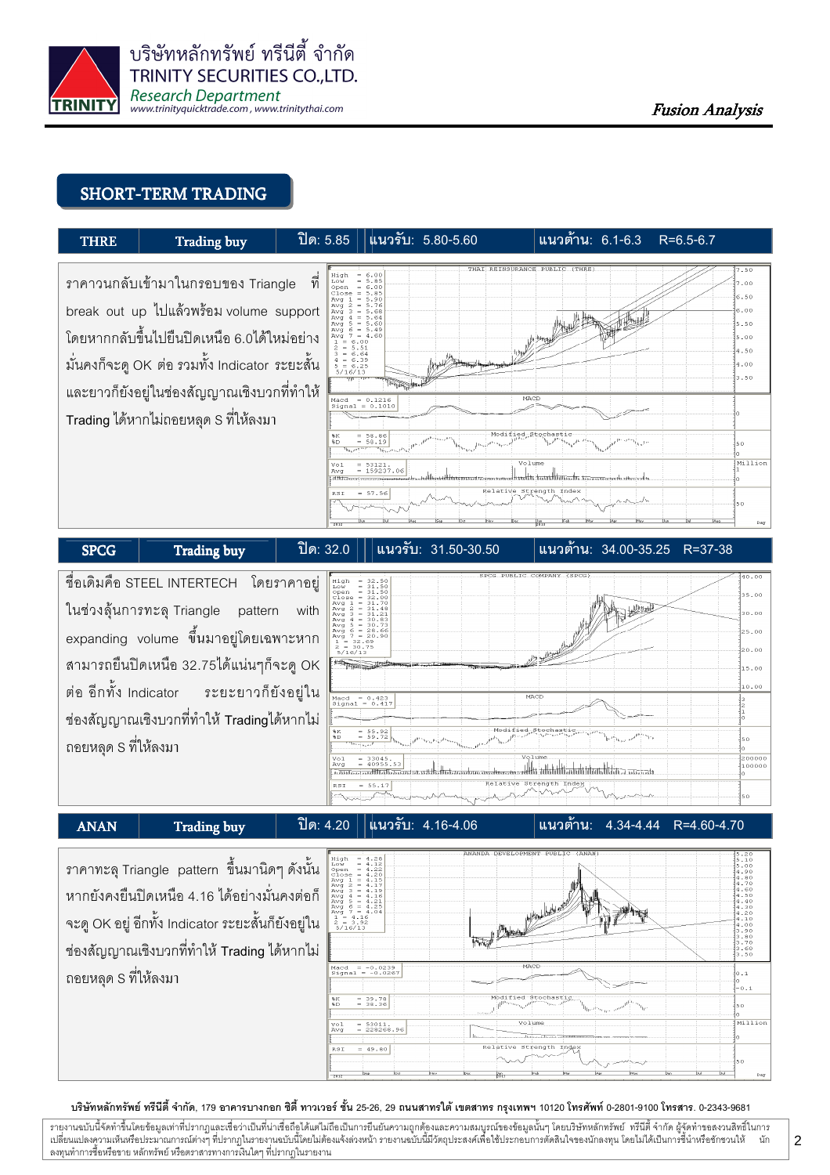

#### **SHORT-TERM TRADING**



#### ชื่อเดิมคือ STEEL INTERTECH โดยราคาอยู่ 1111111111111 ในช่วงลุ้นการทะลุ Triangle pattern with 3:<br>3 (<br>3 ( expanding volume ขึ้นมาอยู่โดยเฉพาะหาก สามารถยืนปิดเหนือ 32.75ได้แน่นๆก็จะดู OK  $5.00$ ต่อ อีกทั้ง Indicator ระยะยาวก็ยังอยู่ใน  $= 0.423$ <br> $= 0.41$ ช่องสัญญาณเชิงบวกที่ทำให้ Tradingได้หากไม่  $\frac{55.92}{59.72}$ ถอยหลด S ที่ให้ลงมา 20000  $=$  33045. llike satta tahun kalendar tahun 1965 daerah secara dalam berasa dalam berasa dalam berasa dalam berasa dalam 100001  $-55.17$ .<br>Batafiya tefwarafi tesa แนวรับ: 4.16-4.06 <u> ปิด: 4.20</u> แนวต้าน:  $R = 460 - 470$  $4.34 - 4.44$ **ANAN Trading buy**

ราคาทะลุ Triangle pattern ขึ้นมานิดๆ ดังนั้น หากยังคงยืนปิดเหนือ 4.16 ได้อย่างมั่นคงต่อก็ จะดู OK อยู่ อีกทั้ง Indicator ระยะสั้นก็ยังอยู่ใน ช่องสัญญาณเชิงบวกที่ทำให้ Trading ได้หากไม่ ถอยหลด S ที่ให้ลงมา



บริษัทหลักทรัพย์ ทรีนีตี้ จำกัด, 179 อาคารบางกอก ซิตี้ ทาวเวอร์ ชั้น 25-26, 29 ถนนสาทรใต้ เขตสาทร กรุงเทพฯ 10120 โทรศัพท์ 0-2801-9100 โทรสาร. 0-2343-9681

วายงานฉบับนี้จัดทำขึ้นโดยข้อมูลเท่าที่ปรากฎและเชื่อว่าเป็นที่น่าเชื่อถือได้แต่ไม่ถือเป็นการยืนยันความถูกต้องและความสมบูรณ์ของข้อมูลนั้นๆ โดยบริษัทหลักทรัพย์ ทรีนีตี้ จำกัด ผู้จัดทำขอสงวนสิทธิ์ในการ บัก